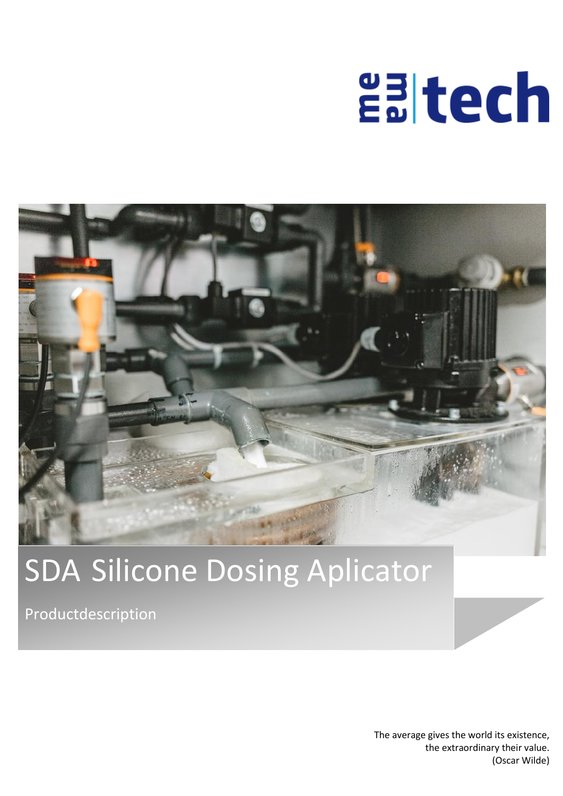# **Ealtech**



## SDA Silicone Dosing Aplicator

Productdescription

The average gives the world its existence, the extraordinary their value. (Oscar Wilde)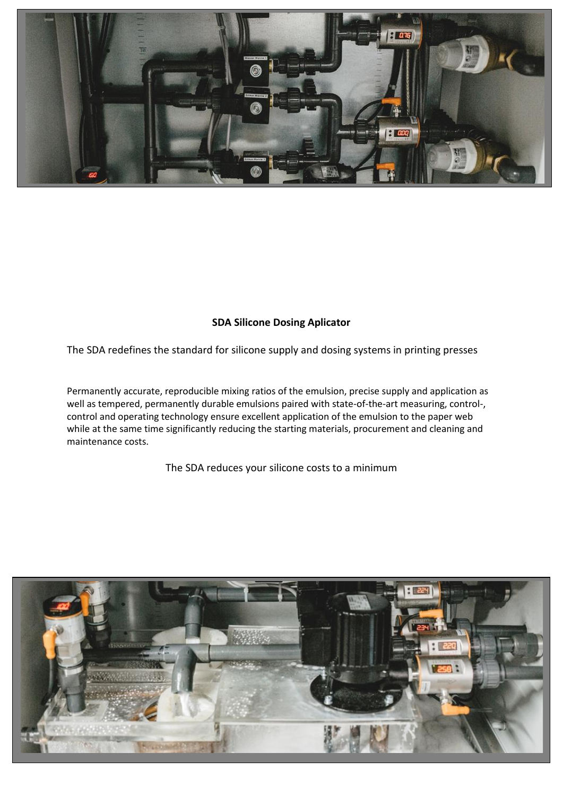

### **SDA Silicone Dosing Aplicator**

The SDA redefines the standard for silicone supply and dosing systems in printing presses

Permanently accurate, reproducible mixing ratios of the emulsion, precise supply and application as well as tempered, permanently durable emulsions paired with state-of-the-art measuring, control-, control and operating technology ensure excellent application of the emulsion to the paper web while at the same time significantly reducing the starting materials, procurement and cleaning and maintenance costs.

The SDA reduces your silicone costs to a minimum

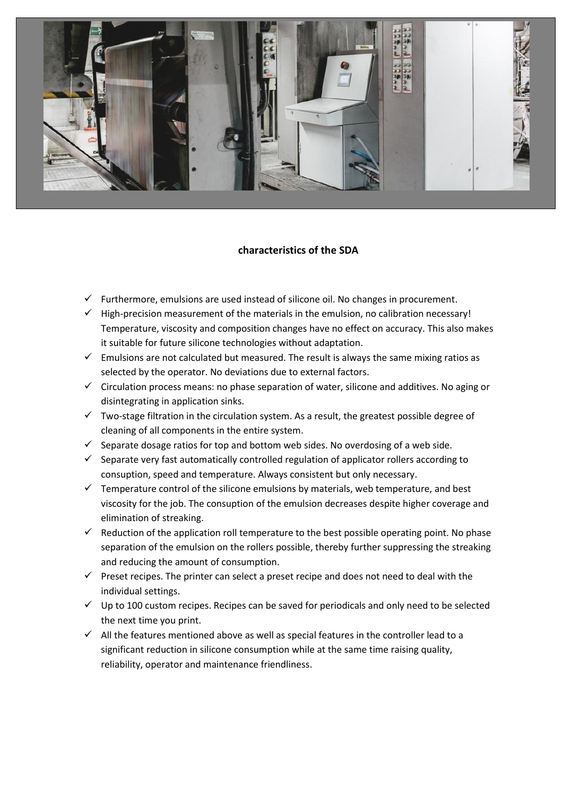

#### **characteristics of the SDA**

- $\checkmark$  Furthermore, emulsions are used instead of silicone oil. No changes in procurement.
- $\checkmark$  High-precision measurement of the materials in the emulsion, no calibration necessary! Temperature, viscosity and composition changes have no effect on accuracy. This also makes it suitable for future silicone technologies without adaptation.
- $\checkmark$  Emulsions are not calculated but measured. The result is always the same mixing ratios as selected by the operator. No deviations due to external factors.
- $\checkmark$  Circulation process means: no phase separation of water, silicone and additives. No aging or disintegrating in application sinks.
- $\checkmark$  Two-stage filtration in the circulation system. As a result, the greatest possible degree of cleaning of all components in the entire system.
- $\checkmark$  Separate dosage ratios for top and bottom web sides. No overdosing of a web side.
- $\checkmark$  Separate very fast automatically controlled regulation of applicator rollers according to consuption, speed and temperature. Always consistent but only necessary.
- $\checkmark$  Temperature control of the silicone emulsions by materials, web temperature, and best viscosity for the job. The consuption of the emulsion decreases despite higher coverage and elimination of streaking.
- $\checkmark$  Reduction of the application roll temperature to the best possible operating point. No phase separation of the emulsion on the rollers possible, thereby further suppressing the streaking and reducing the amount of consumption.
- $\checkmark$  Preset recipes. The printer can select a preset recipe and does not need to deal with the individual settings.
- $\checkmark$  Up to 100 custom recipes. Recipes can be saved for periodicals and only need to be selected the next time you print.
- $\checkmark$  All the features mentioned above as well as special features in the controller lead to a significant reduction in silicone consumption while at the same time raising quality, reliability, operator and maintenance friendliness.